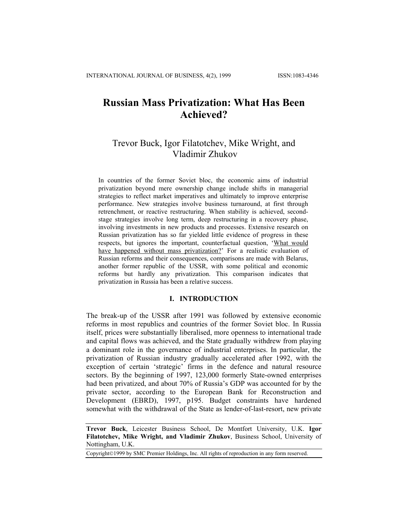# **Russian Mass Privatization: What Has Been Achieved?**

## Trevor Buck, Igor Filatotchev, Mike Wright, and Vladimir Zhukov

In countries of the former Soviet bloc, the economic aims of industrial privatization beyond mere ownership change include shifts in managerial strategies to reflect market imperatives and ultimately to improve enterprise performance. New strategies involve business turnaround, at first through retrenchment, or reactive restructuring. When stability is achieved, secondstage strategies involve long term, deep restructuring in a recovery phase, involving investments in new products and processes. Extensive research on Russian privatization has so far yielded little evidence of progress in these respects, but ignores the important, counterfactual question, 'What would have happened without mass privatization?' For a realistic evaluation of Russian reforms and their consequences, comparisons are made with Belarus, another former republic of the USSR, with some political and economic reforms but hardly any privatization. This comparison indicates that privatization in Russia has been a relative success.

## **I. INTRODUCTION**

The break-up of the USSR after 1991 was followed by extensive economic reforms in most republics and countries of the former Soviet bloc. In Russia itself, prices were substantially liberalised, more openness to international trade and capital flows was achieved, and the State gradually withdrew from playing a dominant role in the governance of industrial enterprises. In particular, the privatization of Russian industry gradually accelerated after 1992, with the exception of certain 'strategic' firms in the defence and natural resource sectors. By the beginning of 1997, 123,000 formerly State-owned enterprises had been privatized, and about 70% of Russia's GDP was accounted for by the private sector, according to the European Bank for Reconstruction and Development (EBRD), 1997, p195. Budget constraints have hardened somewhat with the withdrawal of the State as lender-of-last-resort, new private

**Trevor Buck**, Leicester Business School, De Montfort University, U.K. **Igor Filatotchev, Mike Wright, and Vladimir Zhukov**, Business School, University of Nottingham, U.K.

Copyright©1999 by SMC Premier Holdings, Inc. All rights of reproduction in any form reserved.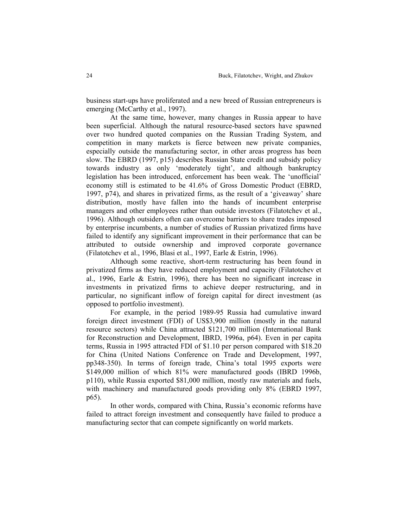business start-ups have proliferated and a new breed of Russian entrepreneurs is emerging (McCarthy et al., 1997).

At the same time, however, many changes in Russia appear to have been superficial. Although the natural resource-based sectors have spawned over two hundred quoted companies on the Russian Trading System, and competition in many markets is fierce between new private companies, especially outside the manufacturing sector, in other areas progress has been slow. The EBRD (1997, p15) describes Russian State credit and subsidy policy towards industry as only 'moderately tight', and although bankruptcy legislation has been introduced, enforcement has been weak. The 'unofficial' economy still is estimated to be 41.6% of Gross Domestic Product (EBRD, 1997, p74), and shares in privatized firms, as the result of a 'giveaway' share distribution, mostly have fallen into the hands of incumbent enterprise managers and other employees rather than outside investors (Filatotchev et al., 1996). Although outsiders often can overcome barriers to share trades imposed by enterprise incumbents, a number of studies of Russian privatized firms have failed to identify any significant improvement in their performance that can be attributed to outside ownership and improved corporate governance (Filatotchev et al., 1996, Blasi et al., 1997, Earle & Estrin, 1996).

Although some reactive, short-term restructuring has been found in privatized firms as they have reduced employment and capacity (Filatotchev et al., 1996, Earle & Estrin, 1996), there has been no significant increase in investments in privatized firms to achieve deeper restructuring, and in particular, no significant inflow of foreign capital for direct investment (as opposed to portfolio investment).

For example, in the period 1989-95 Russia had cumulative inward foreign direct investment (FDI) of US\$3,900 million (mostly in the natural resource sectors) while China attracted \$121,700 million (International Bank for Reconstruction and Development, IBRD, 1996a, p64). Even in per capita terms, Russia in 1995 attracted FDI of \$1.10 per person compared with \$18.20 for China (United Nations Conference on Trade and Development, 1997, pp348-350). In terms of foreign trade, China's total 1995 exports were \$149,000 million of which 81% were manufactured goods (IBRD 1996b, p110), while Russia exported \$81,000 million, mostly raw materials and fuels, with machinery and manufactured goods providing only 8% (EBRD 1997, p65).

In other words, compared with China, Russia's economic reforms have failed to attract foreign investment and consequently have failed to produce a manufacturing sector that can compete significantly on world markets.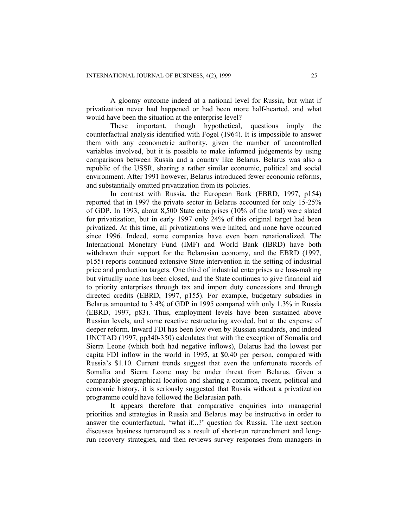A gloomy outcome indeed at a national level for Russia, but what if privatization never had happened or had been more half-hearted, and what would have been the situation at the enterprise level?

These important, though hypothetical, questions imply the counterfactual analysis identified with Fogel (1964). It is impossible to answer them with any econometric authority, given the number of uncontrolled variables involved, but it is possible to make informed judgements by using comparisons between Russia and a country like Belarus. Belarus was also a republic of the USSR, sharing a rather similar economic, political and social environment. After 1991 however, Belarus introduced fewer economic reforms, and substantially omitted privatization from its policies.

In contrast with Russia, the European Bank (EBRD, 1997, p154) reported that in 1997 the private sector in Belarus accounted for only 15-25% of GDP. In 1993, about 8,500 State enterprises (10% of the total) were slated for privatization, but in early 1997 only 24% of this original target had been privatized. At this time, all privatizations were halted, and none have occurred since 1996. Indeed, some companies have even been renationalized. The International Monetary Fund (IMF) and World Bank (IBRD) have both withdrawn their support for the Belarusian economy, and the EBRD (1997, p155) reports continued extensive State intervention in the setting of industrial price and production targets. One third of industrial enterprises are loss-making but virtually none has been closed, and the State continues to give financial aid to priority enterprises through tax and import duty concessions and through directed credits (EBRD, 1997, p155). For example, budgetary subsidies in Belarus amounted to 3.4% of GDP in 1995 compared with only 1.3% in Russia (EBRD, 1997, p83). Thus, employment levels have been sustained above Russian levels, and some reactive restructuring avoided, but at the expense of deeper reform. Inward FDI has been low even by Russian standards, and indeed UNCTAD (1997, pp340-350) calculates that with the exception of Somalia and Sierra Leone (which both had negative inflows), Belarus had the lowest per capita FDI inflow in the world in 1995, at \$0.40 per person, compared with Russia's \$1.10. Current trends suggest that even the unfortunate records of Somalia and Sierra Leone may be under threat from Belarus. Given a comparable geographical location and sharing a common, recent, political and economic history, it is seriously suggested that Russia without a privatization programme could have followed the Belarusian path.

It appears therefore that comparative enquiries into managerial priorities and strategies in Russia and Belarus may be instructive in order to answer the counterfactual, 'what if...?' question for Russia. The next section discusses business turnaround as a result of short-run retrenchment and longrun recovery strategies, and then reviews survey responses from managers in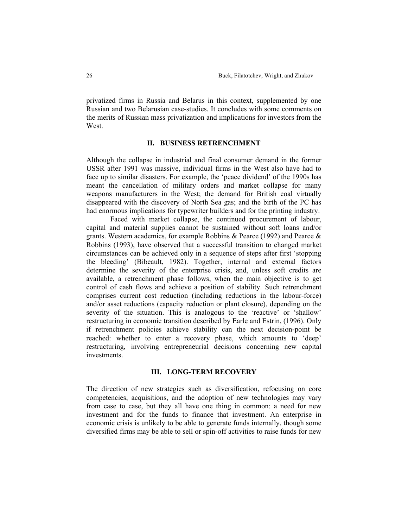privatized firms in Russia and Belarus in this context, supplemented by one Russian and two Belarusian case-studies. It concludes with some comments on the merits of Russian mass privatization and implications for investors from the West.

## **II. BUSINESS RETRENCHMENT**

Although the collapse in industrial and final consumer demand in the former USSR after 1991 was massive, individual firms in the West also have had to face up to similar disasters. For example, the 'peace dividend' of the 1990s has meant the cancellation of military orders and market collapse for many weapons manufacturers in the West; the demand for British coal virtually disappeared with the discovery of North Sea gas; and the birth of the PC has had enormous implications for typewriter builders and for the printing industry.

Faced with market collapse, the continued procurement of labour, capital and material supplies cannot be sustained without soft loans and/or grants. Western academics, for example Robbins  $\&$  Pearce (1992) and Pearce  $\&$ Robbins (1993), have observed that a successful transition to changed market circumstances can be achieved only in a sequence of steps after first 'stopping the bleeding' (Bibeault, 1982). Together, internal and external factors determine the severity of the enterprise crisis, and, unless soft credits are available, a retrenchment phase follows, when the main objective is to get control of cash flows and achieve a position of stability. Such retrenchment comprises current cost reduction (including reductions in the labour-force) and/or asset reductions (capacity reduction or plant closure), depending on the severity of the situation. This is analogous to the 'reactive' or 'shallow' restructuring in economic transition described by Earle and Estrin, (1996). Only if retrenchment policies achieve stability can the next decision-point be reached: whether to enter a recovery phase, which amounts to 'deep' restructuring, involving entrepreneurial decisions concerning new capital investments.

## **III. LONG-TERM RECOVERY**

The direction of new strategies such as diversification, refocusing on core competencies, acquisitions, and the adoption of new technologies may vary from case to case, but they all have one thing in common: a need for new investment and for the funds to finance that investment. An enterprise in economic crisis is unlikely to be able to generate funds internally, though some diversified firms may be able to sell or spin-off activities to raise funds for new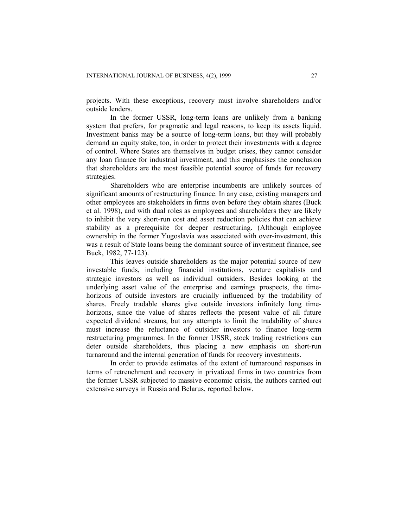projects. With these exceptions, recovery must involve shareholders and/or outside lenders.

In the former USSR, long-term loans are unlikely from a banking system that prefers, for pragmatic and legal reasons, to keep its assets liquid. Investment banks may be a source of long-term loans, but they will probably demand an equity stake, too, in order to protect their investments with a degree of control. Where States are themselves in budget crises, they cannot consider any loan finance for industrial investment, and this emphasises the conclusion that shareholders are the most feasible potential source of funds for recovery strategies.

Shareholders who are enterprise incumbents are unlikely sources of significant amounts of restructuring finance. In any case, existing managers and other employees are stakeholders in firms even before they obtain shares (Buck et al. 1998), and with dual roles as employees and shareholders they are likely to inhibit the very short-run cost and asset reduction policies that can achieve stability as a prerequisite for deeper restructuring. (Although employee ownership in the former Yugoslavia was associated with over-investment, this was a result of State loans being the dominant source of investment finance, see Buck, 1982, 77-123).

This leaves outside shareholders as the major potential source of new investable funds, including financial institutions, venture capitalists and strategic investors as well as individual outsiders. Besides looking at the underlying asset value of the enterprise and earnings prospects, the timehorizons of outside investors are crucially influenced by the tradability of shares. Freely tradable shares give outside investors infinitely long timehorizons, since the value of shares reflects the present value of all future expected dividend streams, but any attempts to limit the tradability of shares must increase the reluctance of outsider investors to finance long-term restructuring programmes. In the former USSR, stock trading restrictions can deter outside shareholders, thus placing a new emphasis on short-run turnaround and the internal generation of funds for recovery investments.

In order to provide estimates of the extent of turnaround responses in terms of retrenchment and recovery in privatized firms in two countries from the former USSR subjected to massive economic crisis, the authors carried out extensive surveys in Russia and Belarus, reported below.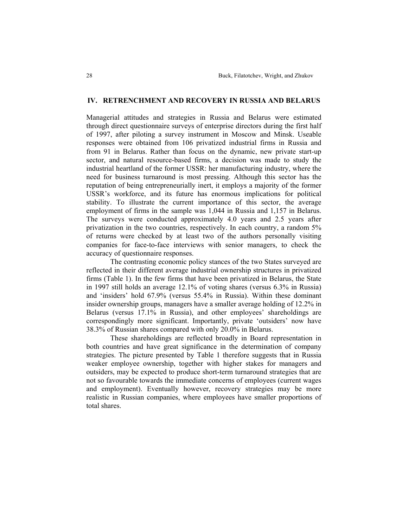## **IV. RETRENCHMENT AND RECOVERY IN RUSSIA AND BELARUS**

Managerial attitudes and strategies in Russia and Belarus were estimated through direct questionnaire surveys of enterprise directors during the first half of 1997, after piloting a survey instrument in Moscow and Minsk. Useable responses were obtained from 106 privatized industrial firms in Russia and from 91 in Belarus. Rather than focus on the dynamic, new private start-up sector, and natural resource-based firms, a decision was made to study the industrial heartland of the former USSR: her manufacturing industry, where the need for business turnaround is most pressing. Although this sector has the reputation of being entrepreneurially inert, it employs a majority of the former USSR's workforce, and its future has enormous implications for political stability. To illustrate the current importance of this sector, the average employment of firms in the sample was 1,044 in Russia and 1,157 in Belarus. The surveys were conducted approximately 4.0 years and 2.5 years after privatization in the two countries, respectively. In each country, a random 5% of returns were checked by at least two of the authors personally visiting companies for face-to-face interviews with senior managers, to check the accuracy of questionnaire responses.

The contrasting economic policy stances of the two States surveyed are reflected in their different average industrial ownership structures in privatized firms (Table 1). In the few firms that have been privatized in Belarus, the State in 1997 still holds an average 12.1% of voting shares (versus 6.3% in Russia) and 'insiders' hold 67.9% (versus 55.4% in Russia). Within these dominant insider ownership groups, managers have a smaller average holding of 12.2% in Belarus (versus 17.1% in Russia), and other employees' shareholdings are correspondingly more significant. Importantly, private 'outsiders' now have 38.3% of Russian shares compared with only 20.0% in Belarus.

These shareholdings are reflected broadly in Board representation in both countries and have great significance in the determination of company strategies. The picture presented by Table 1 therefore suggests that in Russia weaker employee ownership, together with higher stakes for managers and outsiders, may be expected to produce short-term turnaround strategies that are not so favourable towards the immediate concerns of employees (current wages and employment). Eventually however, recovery strategies may be more realistic in Russian companies, where employees have smaller proportions of total shares.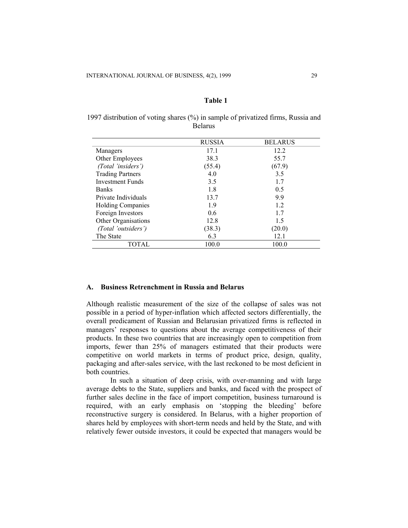## **Table 1**

| 1997 distribution of voting shares (%) in sample of privatized firms, Russia and |  |
|----------------------------------------------------------------------------------|--|
| <b>Belarus</b>                                                                   |  |

|                          | <b>RUSSIA</b> | <b>BELARUS</b> |  |
|--------------------------|---------------|----------------|--|
| Managers                 | 17.1          | 12.2           |  |
| Other Employees          | 38.3          | 55.7           |  |
| (Total 'insiders')       | (55.4)        | (67.9)         |  |
| <b>Trading Partners</b>  | 4.0           | 3.5            |  |
| <b>Investment Funds</b>  | 3.5           | 1.7            |  |
| <b>Banks</b>             | 1.8           | 0.5            |  |
| Private Individuals      | 13.7          | 9.9            |  |
| <b>Holding Companies</b> | 1.9           | 1.2            |  |
| Foreign Investors        | 0.6           | 1.7            |  |
| Other Organisations      | 12.8          | 1.5            |  |
| (Total 'outsiders')      | (38.3)        | (20.0)         |  |
| The State                | 6.3           | 12.1           |  |
| TOTAL                    | 100.0         | 100.0          |  |

#### **A. Business Retrenchment in Russia and Belarus**

Although realistic measurement of the size of the collapse of sales was not possible in a period of hyper-inflation which affected sectors differentially, the overall predicament of Russian and Belarusian privatized firms is reflected in managers' responses to questions about the average competitiveness of their products. In these two countries that are increasingly open to competition from imports, fewer than 25% of managers estimated that their products were competitive on world markets in terms of product price, design, quality, packaging and after-sales service, with the last reckoned to be most deficient in both countries.

In such a situation of deep crisis, with over-manning and with large average debts to the State, suppliers and banks, and faced with the prospect of further sales decline in the face of import competition, business turnaround is required, with an early emphasis on 'stopping the bleeding' before reconstructive surgery is considered. In Belarus, with a higher proportion of shares held by employees with short-term needs and held by the State, and with relatively fewer outside investors, it could be expected that managers would be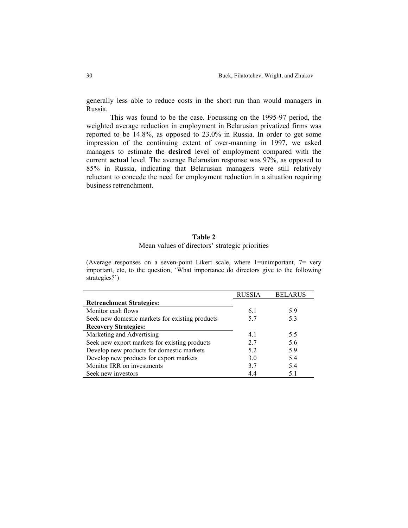generally less able to reduce costs in the short run than would managers in Russia.

This was found to be the case. Focussing on the 1995-97 period, the weighted average reduction in employment in Belarusian privatized firms was reported to be 14.8%, as opposed to 23.0% in Russia. In order to get some impression of the continuing extent of over-manning in 1997, we asked managers to estimate the **desired** level of employment compared with the current **actual** level. The average Belarusian response was 97%, as opposed to 85% in Russia, indicating that Belarusian managers were still relatively reluctant to concede the need for employment reduction in a situation requiring business retrenchment.

#### **Table 2**

## Mean values of directors' strategic priorities

(Average responses on a seven-point Likert scale, where 1=unimportant, 7= very important, etc, to the question, 'What importance do directors give to the following strategies?')

|                                                 | <b>RUSSIA</b> | <b>BELARUS</b> |
|-------------------------------------------------|---------------|----------------|
| <b>Retrenchment Strategies:</b>                 |               |                |
| Monitor cash flows                              | 6.1           | 5.9            |
| Seek new domestic markets for existing products | 5.7           | 5.3            |
| <b>Recovery Strategies:</b>                     |               |                |
| Marketing and Advertising                       | 4.1           | 5.5            |
| Seek new export markets for existing products   | 27            | 5.6            |
| Develop new products for domestic markets       | 52            | 5.9            |
| Develop new products for export markets         | 3 O           | 5.4            |
| Monitor IRR on investments                      | 3.7           | 5.4            |
| Seek new investors                              | 4.4           | 5.1            |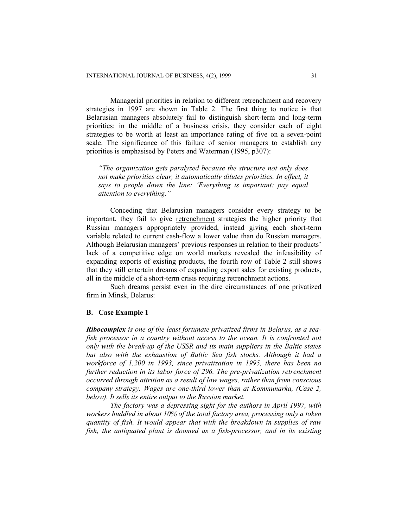Managerial priorities in relation to different retrenchment and recovery strategies in 1997 are shown in Table 2. The first thing to notice is that Belarusian managers absolutely fail to distinguish short-term and long-term priorities: in the middle of a business crisis, they consider each of eight strategies to be worth at least an importance rating of five on a seven-point scale. The significance of this failure of senior managers to establish any priorities is emphasised by Peters and Waterman (1995, p307):

*"The organization gets paralyzed because the structure not only does not make priorities clear, it automatically dilutes priorities. In effect, it says to people down the line: 'Everything is important: pay equal attention to everything."* 

Conceding that Belarusian managers consider every strategy to be important, they fail to give retrenchment strategies the higher priority that Russian managers appropriately provided, instead giving each short-term variable related to current cash-flow a lower value than do Russian managers. Although Belarusian managers' previous responses in relation to their products' lack of a competitive edge on world markets revealed the infeasibility of expanding exports of existing products, the fourth row of Table 2 still shows that they still entertain dreams of expanding export sales for existing products, all in the middle of a short-term crisis requiring retrenchment actions.

Such dreams persist even in the dire circumstances of one privatized firm in Minsk, Belarus:

#### **B. Case Example 1**

*Ribocomplex is one of the least fortunate privatized firms in Belarus, as a seafish processor in a country without access to the ocean. It is confronted not only with the break-up of the USSR and its main suppliers in the Baltic states but also with the exhaustion of Baltic Sea fish stocks. Although it had a workforce of 1,200 in 1993, since privatization in 1995, there has been no further reduction in its labor force of 296. The pre-privatization retrenchment occurred through attrition as a result of low wages, rather than from conscious company strategy. Wages are one-third lower than at Kommunarka, (Case 2, below). It sells its entire output to the Russian market.* 

*The factory was a depressing sight for the authors in April 1997, with workers huddled in about 10% of the total factory area, processing only a token quantity of fish. It would appear that with the breakdown in supplies of raw fish, the antiquated plant is doomed as a fish-processor, and in its existing*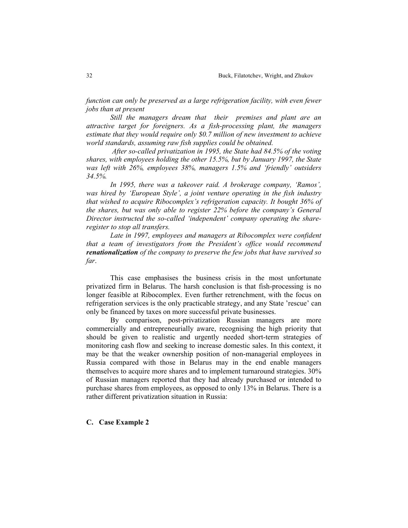*function can only be preserved as a large refrigeration facility, with even fewer jobs than at present* 

*Still the managers dream that their premises and plant are an attractive target for foreigners. As a fish-processing plant, the managers estimate that they would require only \$0.7 million of new investment to achieve world standards, assuming raw fish supplies could be obtained.* 

 *After so-called privatization in 1995, the State had 84.5% of the voting shares, with employees holding the other 15.5%, but by January 1997, the State was left with 26%, employees 38%, managers 1.5% and 'friendly' outsiders 34.5%.* 

*In 1995, there was a takeover raid. A brokerage company, 'Ramos', was hired by 'European Style', a joint venture operating in the fish industry that wished to acquire Ribocomplex's refrigeration capacity. It bought 36% of the shares, but was only able to register 22% before the company's General Director instructed the so-called 'independent' company operating the shareregister to stop all transfers.* 

*Late in 1997, employees and managers at Ribocomplex were confident that a team of investigators from the President's office would recommend renationalization of the company to preserve the few jobs that have survived so far*.

This case emphasises the business crisis in the most unfortunate privatized firm in Belarus. The harsh conclusion is that fish-processing is no longer feasible at Ribocomplex. Even further retrenchment, with the focus on refrigeration services is the only practicable strategy, and any State 'rescue' can only be financed by taxes on more successful private businesses.

By comparison, post-privatization Russian managers are more commercially and entrepreneurially aware, recognising the high priority that should be given to realistic and urgently needed short-term strategies of monitoring cash flow and seeking to increase domestic sales. In this context, it may be that the weaker ownership position of non-managerial employees in Russia compared with those in Belarus may in the end enable managers themselves to acquire more shares and to implement turnaround strategies. 30% of Russian managers reported that they had already purchased or intended to purchase shares from employees, as opposed to only 13% in Belarus. There is a rather different privatization situation in Russia:

## **C. Case Example 2**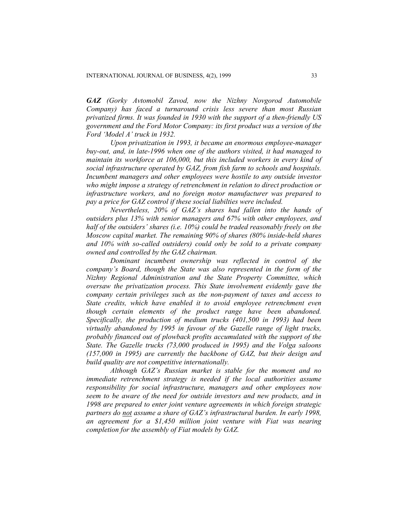*GAZ (Gorky Avtomobil Zavod, now the Nizhny Novgorod Automobile Company) has faced a turnaround crisis less severe than most Russian privatized firms. It was founded in 1930 with the support of a then-friendly US government and the Ford Motor Company: its first product was a version of the Ford 'Model A' truck in 1932.* 

*Upon privatization in 1993, it became an enormous employee-manager buy-out, and, in late-1996 when one of the authors visited, it had managed to maintain its workforce at 106,000, but this included workers in every kind of social infrastructure operated by GAZ, from fish farm to schools and hospitals. Incumbent managers and other employees were hostile to any outside investor who might impose a strategy of retrenchment in relation to direct production or infrastructure workers, and no foreign motor manufacturer was prepared to pay a price for GAZ control if these social liabilties were included.* 

*Nevertheless, 20% of GAZ's shares had fallen into the hands of outsiders plus 13% with senior managers and 67% with other employees, and half of the outsiders' shares (i.e. 10%) could be traded reasonably freely on the Moscow capital market. The remaining 90% of shares (80% inside-held shares and 10% with so-called outsiders) could only be sold to a private company owned and controlled by the GAZ chairman.* 

*Dominant incumbent ownership was reflected in control of the company's Board, though the State was also represented in the form of the Nizhny Regional Administration and the State Property Committee, which oversaw the privatization process. This State involvement evidently gave the company certain privileges such as the non-payment of taxes and access to State credits, which have enabled it to avoid employee retrenchment even though certain elements of the product range have been abandoned. Specifically, the production of medium trucks (401,500 in 1993) had been virtually abandoned by 1995 in favour of the Gazelle range of light trucks, probably financed out of plowback profits accumulated with the support of the State. The Gazelle trucks (73,000 produced in 1995) and the Volga saloons (157,000 in 1995) are currently the backbone of GAZ, but their design and build quality are not competitive internationally.* 

*Although GAZ's Russian market is stable for the moment and no immediate retrenchment strategy is needed if the local authorities assume responsibility for social infrastructure, managers and other employees now seem to be aware of the need for outside investors and new products, and in 1998 are prepared to enter joint venture agreements in which foreign strategic partners do not assume a share of GAZ's infrastructural burden. In early 1998, an agreement for a \$1,450 million joint venture with Fiat was nearing completion for the assembly of Fiat models by GAZ.*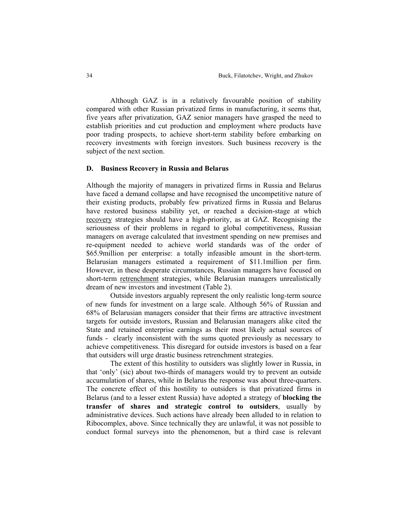Although GAZ is in a relatively favourable position of stability compared with other Russian privatized firms in manufacturing, it seems that, five years after privatization, GAZ senior managers have grasped the need to establish priorities and cut production and employment where products have poor trading prospects, to achieve short-term stability before embarking on recovery investments with foreign investors. Such business recovery is the subject of the next section.

## **D. Business Recovery in Russia and Belarus**

Although the majority of managers in privatized firms in Russia and Belarus have faced a demand collapse and have recognised the uncompetitive nature of their existing products, probably few privatized firms in Russia and Belarus have restored business stability yet, or reached a decision-stage at which recovery strategies should have a high-priority, as at GAZ. Recognising the seriousness of their problems in regard to global competitiveness, Russian managers on average calculated that investment spending on new premises and re-equipment needed to achieve world standards was of the order of \$65.9million per enterprise: a totally infeasible amount in the short-term. Belarusian managers estimated a requirement of \$11.1million per firm. However, in these desperate circumstances, Russian managers have focused on short-term retrenchment strategies, while Belarusian managers unrealistically dream of new investors and investment (Table 2).

Outside investors arguably represent the only realistic long-term source of new funds for investment on a large scale. Although 56% of Russian and 68% of Belarusian managers consider that their firms are attractive investment targets for outside investors, Russian and Belarusian managers alike cited the State and retained enterprise earnings as their most likely actual sources of funds - clearly inconsistent with the sums quoted previously as necessary to achieve competitiveness. This disregard for outside investors is based on a fear that outsiders will urge drastic business retrenchment strategies.

The extent of this hostility to outsiders was slightly lower in Russia, in that 'only' (sic) about two-thirds of managers would try to prevent an outside accumulation of shares, while in Belarus the response was about three-quarters. The concrete effect of this hostility to outsiders is that privatized firms in Belarus (and to a lesser extent Russia) have adopted a strategy of **blocking the transfer of shares and strategic control to outsiders**, usually by administrative devices. Such actions have already been alluded to in relation to Ribocomplex, above. Since technically they are unlawful, it was not possible to conduct formal surveys into the phenomenon, but a third case is relevant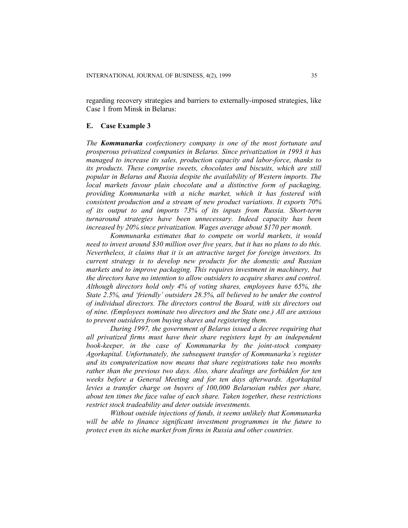regarding recovery strategies and barriers to externally-imposed strategies, like Case 1 from Minsk in Belarus:

## **E. Case Example 3**

*The Kommunarka confectionery company is one of the most fortunate and prosperous privatized companies in Belarus. Since privatization in 1993 it has managed to increase its sales, production capacity and labor-force, thanks to its products. These comprise sweets, chocolates and biscuits, which are still popular in Belarus and Russia despite the availability of Western imports. The local markets favour plain chocolate and a distinctive form of packaging, providing Kommunarka with a niche market, which it has fostered with consistent production and a stream of new product variations. It exports 70% of its output to and imports 73% of its inputs from Russia. Short-term turnaround strategies have been unnecessary. Indeed capacity has been increased by 20% since privatization. Wages average about \$170 per month.* 

*Kommunarka estimates that to compete on world markets, it would need to invest around \$30 million over five years, but it has no plans to do this. Nevertheless, it claims that it is an attractive target for foreign investors. Its current strategy is to develop new products for the domestic and Russian markets and to improve packaging. This requires investment in machinery, but the directors have no intention to allow outsiders to acquire shares and control. Although directors hold only 4% of voting shares, employees have 65%, the State 2.5%, and 'friendly' outsiders 28.5%, all believed to be under the control of individual directors. The directors control the Board, with six directors out of nine. (Employees nominate two directors and the State one.) All are anxious to prevent outsiders from buying shares and registering them.* 

*During 1997, the government of Belarus issued a decree requiring that all privatized firms must have their share registers kept by an independent book-keeper, in the case of Kommunarka by the joint-stock company Agorkapital. Unfortunately, the subsequent transfer of Kommunarka's register and its computerization now means that share registrations take two months rather than the previous two days. Also, share dealings are forbidden for ten weeks before a General Meeting and for ten days afterwards. Agorkapital levies a transfer charge on buyers of 100,000 Belarusian rubles per share, about ten times the face value of each share. Taken together, these restrictions restrict stock tradeability and deter outside investments.* 

*Without outside injections of funds, it seems unlikely that Kommunarka*  will be able to finance significant investment programmes in the future to *protect even its niche market from firms in Russia and other countries.*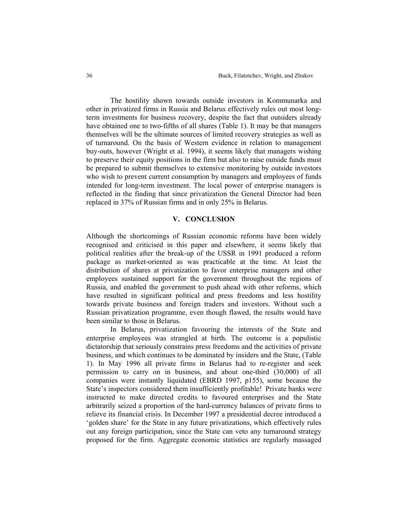The hostility shown towards outside investors in Kommunarka and other in privatized firms in Russia and Belarus effectively rules out most longterm investments for business recovery, despite the fact that outsiders already have obtained one to two-fifths of all shares (Table 1). It may be that managers themselves will be the ultimate sources of limited recovery strategies as well as of turnaround. On the basis of Western evidence in relation to management buy-outs, however (Wright et al. 1994), it seems likely that managers wishing to preserve their equity positions in the firm but also to raise outside funds must be prepared to submit themselves to extensive monitoring by outside investors who wish to prevent current consumption by managers and employees of funds intended for long-term investment. The local power of enterprise managers is reflected in the finding that since privatization the General Director had been replaced in 37% of Russian firms and in only 25% in Belarus.

## **V. CONCLUSION**

Although the shortcomings of Russian economic reforms have been widely recognised and criticised in this paper and elsewhere, it seems likely that political realities after the break-up of the USSR in 1991 produced a reform package as market-oriented as was practicable at the time. At least the distribution of shares at privatization to favor enterprise managers and other employees sustained support for the government throughout the regions of Russia, and enabled the government to push ahead with other reforms, which have resulted in significant political and press freedoms and less hostility towards private business and foreign traders and investors. Without such a Russian privatization programme, even though flawed, the results would have been similar to those in Belarus.

In Belarus, privatization favouring the interests of the State and enterprise employees was strangled at birth. The outcome is a populistic dictatorship that seriously constrains press freedoms and the activities of private business, and which continues to be dominated by insiders and the State, (Table 1). In May 1996 all private firms in Belarus had to re-register and seek permission to carry on in business, and about one-third (30,000) of all companies were instantly liquidated (EBRD 1997, p155), some because the State's inspectors considered them insufficiently profitable! Private banks were instructed to make directed credits to favoured enterprises and the State arbitrarily seized a proportion of the hard-currency balances of private firms to relieve its financial crisis. In December 1997 a presidential decree introduced a 'golden share' for the State in any future privatizations, which effectively rules out any foreign participation, since the State can veto any turnaround strategy proposed for the firm. Aggregate economic statistics are regularly massaged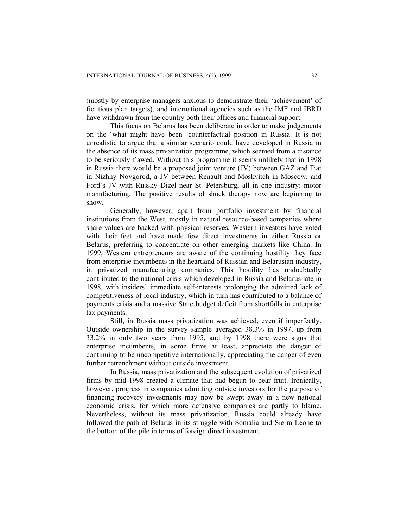(mostly by enterprise managers anxious to demonstrate their 'achievement' of fictitious plan targets), and international agencies such as the IMF and IBRD have withdrawn from the country both their offices and financial support.

This focus on Belarus has been deliberate in order to make judgements on the 'what might have been' counterfactual position in Russia. It is not unrealistic to argue that a similar scenario could have developed in Russia in the absence of its mass privatization programme, which seemed from a distance to be seriously flawed. Without this programme it seems unlikely that in 1998 in Russia there would be a proposed joint venture (JV) between GAZ and Fiat in Nizhny Novgorod, a JV between Renault and Moskvitch in Moscow, and Ford's JV with Russky Dizel near St. Petersburg, all in one industry: motor manufacturing. The positive results of shock therapy now are beginning to show.

Generally, however, apart from portfolio investment by financial institutions from the West, mostly in natural resource-based companies where share values are backed with physical reserves, Western investors have voted with their feet and have made few direct investments in either Russia or Belarus, preferring to concentrate on other emerging markets like China. In 1999, Western entrepreneurs are aware of the continuing hostility they face from enterprise incumbents in the heartland of Russian and Belarusian industry, in privatized manufacturing companies. This hostility has undoubtedly contributed to the national crisis which developed in Russia and Belarus late in 1998, with insiders' immediate self-interests prolonging the admitted lack of competitiveness of local industry, which in turn has contributed to a balance of payments crisis and a massive State budget deficit from shortfalls in enterprise tax payments.

Still, in Russia mass privatization was achieved, even if imperfectly. Outside ownership in the survey sample averaged 38.3% in 1997, up from 33.2% in only two years from 1995, and by 1998 there were signs that enterprise incumbents, in some firms at least, appreciate the danger of continuing to be uncompetitive internationally, appreciating the danger of even further retrenchment without outside investment.

In Russia, mass privatization and the subsequent evolution of privatized firms by mid-1998 created a climate that had begun to bear fruit. Ironically, however, progress in companies admitting outside investors for the purpose of financing recovery investments may now be swept away in a new national economic crisis, for which more defensive companies are partly to blame. Nevertheless, without its mass privatization, Russia could already have followed the path of Belarus in its struggle with Somalia and Sierra Leone to the bottom of the pile in terms of foreign direct investment.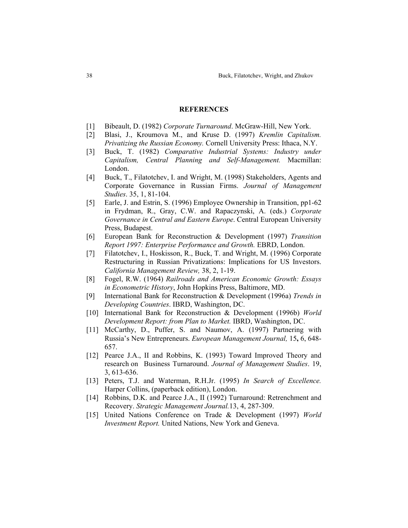## **REFERENCES**

- [1] Bibeault, D. (1982) *Corporate Turnaround*. McGraw-Hill, New York.
- [2] Blasi, J., Kroumova M., and Kruse D. (1997) *Kremlin Capitalism. Privatizing the Russian Economy.* Cornell University Press: Ithaca, N.Y.
- [3] Buck, T. (1982) *Comparative Industrial Systems: Industry under Capitalism, Central Planning and Self-Management.* Macmillan: London.
- [4] Buck, T., Filatotchev, I. and Wright, M. (1998) Stakeholders, Agents and Corporate Governance in Russian Firms. *Journal of Management Studies*. 35, 1, 81-104.
- [5] Earle, J. and Estrin, S. (1996) Employee Ownership in Transition, pp1-62 in Frydman, R., Gray, C.W. and Rapaczynski, A. (eds.) *Corporate Governance in Central and Eastern Europe*. Central European University Press, Budapest.
- [6] European Bank for Reconstruction & Development (1997) *Transition Report 1997: Enterprise Performance and Growth.* EBRD, London.
- [7] Filatotchev, I., Hoskisson, R., Buck, T. and Wright, M. (1996) Corporate Restructuring in Russian Privatizations: Implications for US Investors. *California Management Review,* 38, 2, 1-19.
- [8] Fogel, R.W. (1964) *Railroads and American Economic Growth: Essays in Econometric History*, John Hopkins Press, Baltimore, MD.
- [9] International Bank for Reconstruction & Development (1996a) *Trends in Developing Countries*. IBRD, Washington, DC.
- [10] International Bank for Reconstruction & Development (1996b) *World Development Report: from Plan to Market.* IBRD, Washington, DC.
- [11] McCarthy, D., Puffer, S. and Naumov, A. (1997) Partnering with Russia's New Entrepreneurs. *European Management Journal,* 15**,** 6, 648- 657.
- [12] Pearce J.A., II and Robbins, K. (1993) Toward Improved Theory and research on Business Turnaround. *Journal of Management Studies*. 19, 3, 613-636.
- [13] Peters, T.J. and Waterman, R.H.Jr. (1995) *In Search of Excellence.* Harper Collins, (paperback edition), London.
- [14] Robbins, D.K. and Pearce J.A., II (1992) Turnaround: Retrenchment and Recovery. *Strategic Management Journal.*13, 4, 287-309.
- [15] United Nations Conference on Trade & Development (1997) *World Investment Report.* United Nations, New York and Geneva.